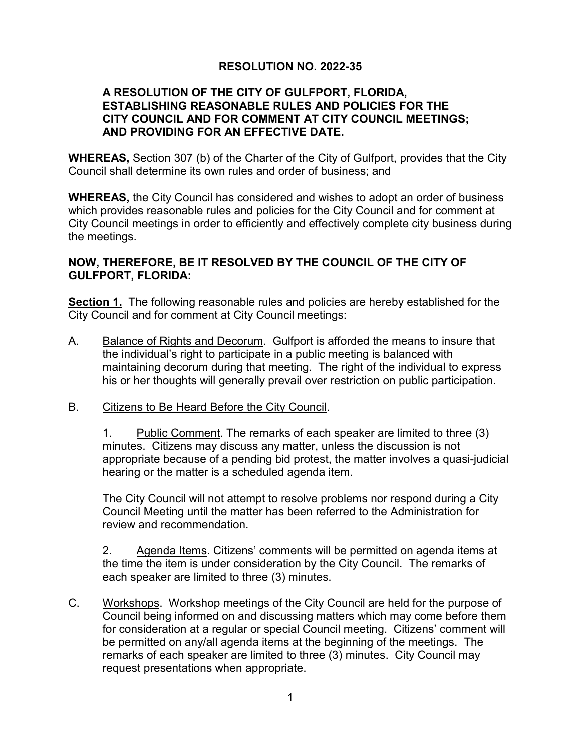# **RESOLUTION NO. 2022-35**

#### **A RESOLUTION OF THE CITY OF GULFPORT, FLORIDA, ESTABLISHING REASONABLE RULES AND POLICIES FOR THE CITY COUNCIL AND FOR COMMENT AT CITY COUNCIL MEETINGS; AND PROVIDING FOR AN EFFECTIVE DATE.**

**WHEREAS,** Section 307 (b) of the Charter of the City of Gulfport, provides that the City Council shall determine its own rules and order of business; and

**WHEREAS,** the City Council has considered and wishes to adopt an order of business which provides reasonable rules and policies for the City Council and for comment at City Council meetings in order to efficiently and effectively complete city business during the meetings.

#### **NOW, THEREFORE, BE IT RESOLVED BY THE COUNCIL OF THE CITY OF GULFPORT, FLORIDA:**

**Section 1.** The following reasonable rules and policies are hereby established for the City Council and for comment at City Council meetings:

- A. Balance of Rights and Decorum. Gulfport is afforded the means to insure that the individual's right to participate in a public meeting is balanced with maintaining decorum during that meeting. The right of the individual to express his or her thoughts will generally prevail over restriction on public participation.
- B. Citizens to Be Heard Before the City Council.

1. Public Comment. The remarks of each speaker are limited to three (3) minutes. Citizens may discuss any matter, unless the discussion is not appropriate because of a pending bid protest, the matter involves a quasi-judicial hearing or the matter is a scheduled agenda item.

The City Council will not attempt to resolve problems nor respond during a City Council Meeting until the matter has been referred to the Administration for review and recommendation.

2. Agenda Items. Citizens' comments will be permitted on agenda items at the time the item is under consideration by the City Council. The remarks of each speaker are limited to three (3) minutes.

C. Workshops. Workshop meetings of the City Council are held for the purpose of Council being informed on and discussing matters which may come before them for consideration at a regular or special Council meeting. Citizens' comment will be permitted on any/all agenda items at the beginning of the meetings. The remarks of each speaker are limited to three (3) minutes. City Council may request presentations when appropriate.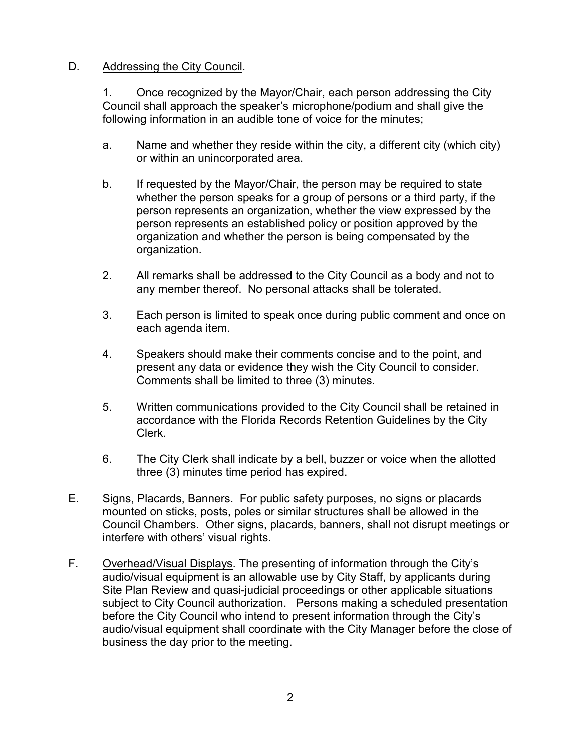## D. Addressing the City Council.

1. Once recognized by the Mayor/Chair, each person addressing the City Council shall approach the speaker's microphone/podium and shall give the following information in an audible tone of voice for the minutes;

- a. Name and whether they reside within the city, a different city (which city) or within an unincorporated area.
- b. If requested by the Mayor/Chair, the person may be required to state whether the person speaks for a group of persons or a third party, if the person represents an organization, whether the view expressed by the person represents an established policy or position approved by the organization and whether the person is being compensated by the organization.
- 2. All remarks shall be addressed to the City Council as a body and not to any member thereof. No personal attacks shall be tolerated.
- 3. Each person is limited to speak once during public comment and once on each agenda item.
- 4. Speakers should make their comments concise and to the point, and present any data or evidence they wish the City Council to consider. Comments shall be limited to three (3) minutes.
- 5. Written communications provided to the City Council shall be retained in accordance with the Florida Records Retention Guidelines by the City Clerk.
- 6. The City Clerk shall indicate by a bell, buzzer or voice when the allotted three (3) minutes time period has expired.
- E. Signs, Placards, Banners. For public safety purposes, no signs or placards mounted on sticks, posts, poles or similar structures shall be allowed in the Council Chambers. Other signs, placards, banners, shall not disrupt meetings or interfere with others' visual rights.
- F. Overhead/Visual Displays. The presenting of information through the City's audio/visual equipment is an allowable use by City Staff, by applicants during Site Plan Review and quasi-judicial proceedings or other applicable situations subject to City Council authorization. Persons making a scheduled presentation before the City Council who intend to present information through the City's audio/visual equipment shall coordinate with the City Manager before the close of business the day prior to the meeting.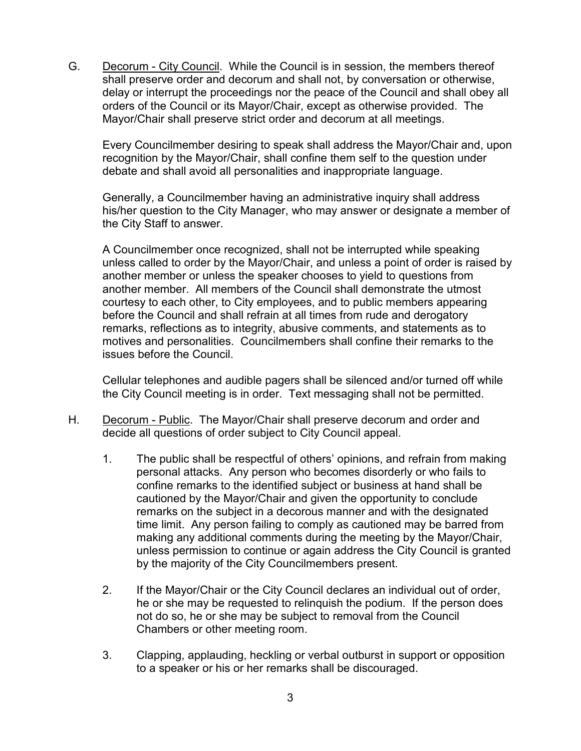G. Decorum - City Council. While the Council is in session, the members thereof shall preserve order and decorum and shall not, by conversation or otherwise, delay or interrupt the proceedings nor the peace of the Council and shall obey all orders of the Council or its Mayor/Chair, except as otherwise provided. The Mayor/Chair shall preserve strict order and decorum at all meetings.

Every Councilmember desiring to speak shall address the Mayor/Chair and, upon recognition by the Mayor/Chair, shall confine them self to the question under debate and shall avoid all personalities and inappropriate language.

Generally, a Councilmember having an administrative inquiry shall address his/her question to the City Manager, who may answer or designate a member of the City Staff to answer.

A Councilmember once recognized, shall not be interrupted while speaking unless called to order by the Mayor/Chair, and unless a point of order is raised by another member or unless the speaker chooses to yield to questions from another member. All members of the Council shall demonstrate the utmost courtesy to each other, to City employees, and to public members appearing before the Council and shall refrain at all times from rude and derogatory remarks, reflections as to integrity, abusive comments, and statements as to motives and personalities. Councilmembers shall confine their remarks to the issues before the Council.

Cellular telephones and audible pagers shall be silenced and/or turned off while the City Council meeting is in order. Text messaging shall not be permitted.

- H. Decorum Public. The Mayor/Chair shall preserve decorum and order and decide all questions of order subject to City Council appeal.
	- 1. The public shall be respectful of others' opinions, and refrain from making personal attacks. Any person who becomes disorderly or who fails to confine remarks to the identified subject or business at hand shall be cautioned by the Mayor/Chair and given the opportunity to conclude remarks on the subject in a decorous manner and with the designated time limit. Any person failing to comply as cautioned may be barred from making any additional comments during the meeting by the Mayor/Chair, unless permission to continue or again address the City Council is granted by the majority of the City Councilmembers present.
	- 2. If the Mayor/Chair or the City Council declares an individual out of order, he or she may be requested to relinquish the podium. If the person does not do so, he or she may be subject to removal from the Council Chambers or other meeting room.
	- 3. Clapping, applauding, heckling or verbal outburst in support or opposition to a speaker or his or her remarks shall be discouraged.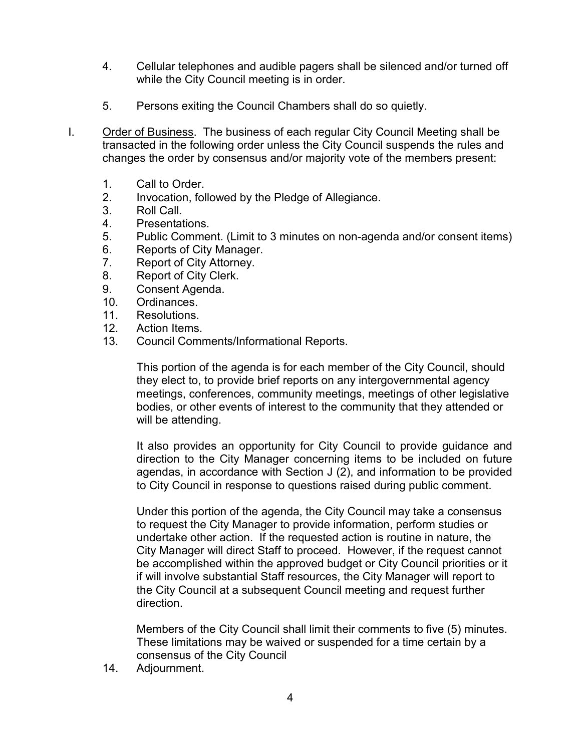- 4. Cellular telephones and audible pagers shall be silenced and/or turned off while the City Council meeting is in order.
- 5. Persons exiting the Council Chambers shall do so quietly.
- I. Order of Business. The business of each regular City Council Meeting shall be transacted in the following order unless the City Council suspends the rules and changes the order by consensus and/or majority vote of the members present:
	- 1. Call to Order.
	- 2. Invocation, followed by the Pledge of Allegiance.
	- 3. Roll Call.
	- 4. Presentations.
	- 5. Public Comment. (Limit to 3 minutes on non-agenda and/or consent items)
	- 6. Reports of City Manager.
	- 7. Report of City Attorney.
	- 8. Report of City Clerk.
	- 9. Consent Agenda.
	- 10. Ordinances.<br>11. Resolutions.
	- Resolutions.
	- 12. Action Items.
	- 13. Council Comments/Informational Reports.

This portion of the agenda is for each member of the City Council, should they elect to, to provide brief reports on any intergovernmental agency meetings, conferences, community meetings, meetings of other legislative bodies, or other events of interest to the community that they attended or will be attending.

It also provides an opportunity for City Council to provide guidance and direction to the City Manager concerning items to be included on future agendas, in accordance with Section J (2), and information to be provided to City Council in response to questions raised during public comment.

Under this portion of the agenda, the City Council may take a consensus to request the City Manager to provide information, perform studies or undertake other action. If the requested action is routine in nature, the City Manager will direct Staff to proceed. However, if the request cannot be accomplished within the approved budget or City Council priorities or it if will involve substantial Staff resources, the City Manager will report to the City Council at a subsequent Council meeting and request further direction.

Members of the City Council shall limit their comments to five (5) minutes. These limitations may be waived or suspended for a time certain by a consensus of the City Council

14. Adjournment.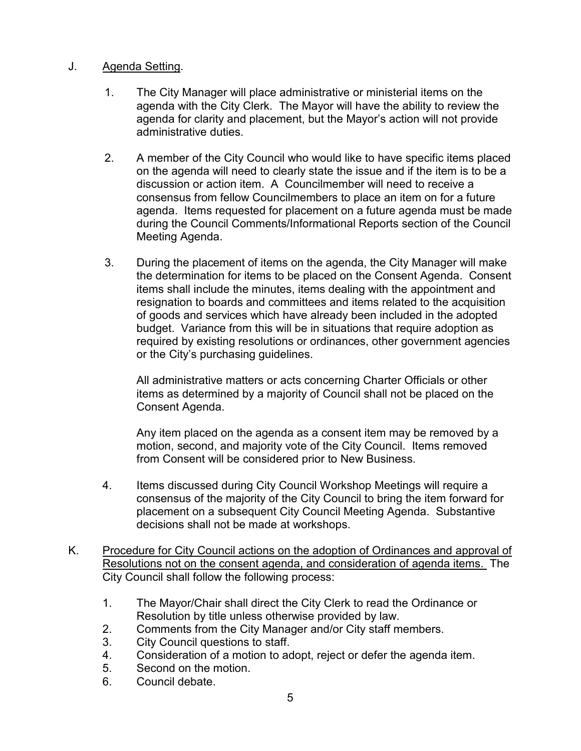## J. Agenda Setting.

- 1. The City Manager will place administrative or ministerial items on the agenda with the City Clerk. The Mayor will have the ability to review the agenda for clarity and placement, but the Mayor's action will not provide administrative duties.
- 2. A member of the City Council who would like to have specific items placed on the agenda will need to clearly state the issue and if the item is to be a discussion or action item. A Councilmember will need to receive a consensus from fellow Councilmembers to place an item on for a future agenda. Items requested for placement on a future agenda must be made during the Council Comments/Informational Reports section of the Council Meeting Agenda.
- 3. During the placement of items on the agenda, the City Manager will make the determination for items to be placed on the Consent Agenda. Consent items shall include the minutes, items dealing with the appointment and resignation to boards and committees and items related to the acquisition of goods and services which have already been included in the adopted budget. Variance from this will be in situations that require adoption as required by existing resolutions or ordinances, other government agencies or the City's purchasing guidelines.

All administrative matters or acts concerning Charter Officials or other items as determined by a majority of Council shall not be placed on the Consent Agenda.

Any item placed on the agenda as a consent item may be removed by a motion, second, and majority vote of the City Council. Items removed from Consent will be considered prior to New Business.

- 4. Items discussed during City Council Workshop Meetings will require a consensus of the majority of the City Council to bring the item forward for placement on a subsequent City Council Meeting Agenda. Substantive decisions shall not be made at workshops.
- K. Procedure for City Council actions on the adoption of Ordinances and approval of Resolutions not on the consent agenda, and consideration of agenda items. The City Council shall follow the following process:
	- 1. The Mayor/Chair shall direct the City Clerk to read the Ordinance or Resolution by title unless otherwise provided by law.
	- 2. Comments from the City Manager and/or City staff members.
	- 3. City Council questions to staff.
	- 4. Consideration of a motion to adopt, reject or defer the agenda item.
	- 5. Second on the motion.
	- 6. Council debate.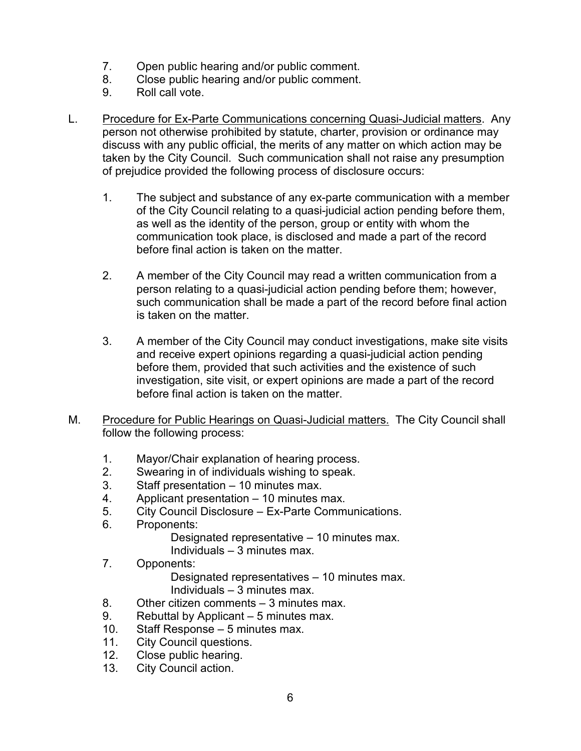- 7. Open public hearing and/or public comment.
- 8. Close public hearing and/or public comment.
- 9. Roll call vote.
- L. Procedure for Ex-Parte Communications concerning Quasi-Judicial matters. Any person not otherwise prohibited by statute, charter, provision or ordinance may discuss with any public official, the merits of any matter on which action may be taken by the City Council. Such communication shall not raise any presumption of prejudice provided the following process of disclosure occurs:
	- 1. The subject and substance of any ex-parte communication with a member of the City Council relating to a quasi-judicial action pending before them, as well as the identity of the person, group or entity with whom the communication took place, is disclosed and made a part of the record before final action is taken on the matter.
	- 2. A member of the City Council may read a written communication from a person relating to a quasi-judicial action pending before them; however, such communication shall be made a part of the record before final action is taken on the matter.
	- 3. A member of the City Council may conduct investigations, make site visits and receive expert opinions regarding a quasi-judicial action pending before them, provided that such activities and the existence of such investigation, site visit, or expert opinions are made a part of the record before final action is taken on the matter.
- M. Procedure for Public Hearings on Quasi-Judicial matters. The City Council shall follow the following process:
	- 1. Mayor/Chair explanation of hearing process.
	- 2. Swearing in of individuals wishing to speak.<br>3. Staff presentation 10 minutes max.
	- Staff presentation 10 minutes max.
	- 4. Applicant presentation 10 minutes max.
	- 5. City Council Disclosure Ex-Parte Communications.
	- 6. Proponents:

Designated representative – 10 minutes max. Individuals – 3 minutes max.

7. Opponents:

Designated representatives – 10 minutes max. Individuals – 3 minutes max.

- 8. Other citizen comments 3 minutes max.
- 9. Rebuttal by Applicant 5 minutes max.
- 10. Staff Response 5 minutes max.<br>11. City Council questions.
- City Council questions.
- 12. Close public hearing.
- 13. City Council action.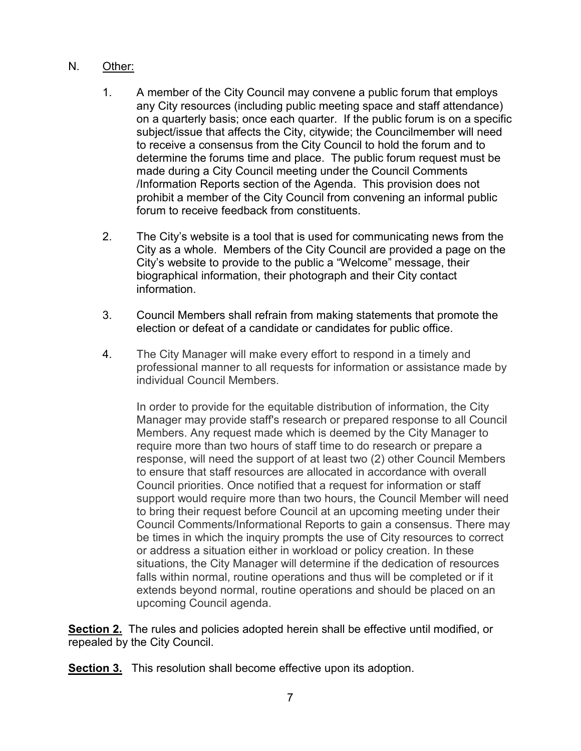## N. Other:

- 1. A member of the City Council may convene a public forum that employs any City resources (including public meeting space and staff attendance) on a quarterly basis; once each quarter. If the public forum is on a specific subject/issue that affects the City, citywide; the Councilmember will need to receive a consensus from the City Council to hold the forum and to determine the forums time and place. The public forum request must be made during a City Council meeting under the Council Comments /Information Reports section of the Agenda. This provision does not prohibit a member of the City Council from convening an informal public forum to receive feedback from constituents.
- 2. The City's website is a tool that is used for communicating news from the City as a whole. Members of the City Council are provided a page on the City's website to provide to the public a "Welcome" message, their biographical information, their photograph and their City contact information.
- 3. Council Members shall refrain from making statements that promote the election or defeat of a candidate or candidates for public office.
- 4. The City Manager will make every effort to respond in a timely and professional manner to all requests for information or assistance made by individual Council Members.

In order to provide for the equitable distribution of information, the City Manager may provide staff's research or prepared response to all Council Members. Any request made which is deemed by the City Manager to require more than two hours of staff time to do research or prepare a response, will need the support of at least two (2) other Council Members to ensure that staff resources are allocated in accordance with overall Council priorities. Once notified that a request for information or staff support would require more than two hours, the Council Member will need to bring their request before Council at an upcoming meeting under their Council Comments/Informational Reports to gain a consensus. There may be times in which the inquiry prompts the use of City resources to correct or address a situation either in workload or policy creation. In these situations, the City Manager will determine if the dedication of resources falls within normal, routine operations and thus will be completed or if it extends beyond normal, routine operations and should be placed on an upcoming Council agenda.

**Section 2.** The rules and policies adopted herein shall be effective until modified, or repealed by the City Council.

**Section 3.** This resolution shall become effective upon its adoption.